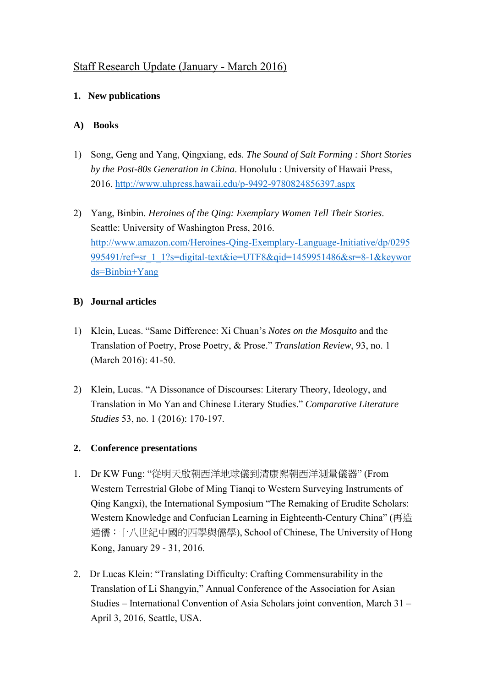# Staff Research Update (January - March 2016)

### **1. New publications**

### **A) Books**

- 1) Song, Geng and Yang, Qingxiang, eds. *The Sound of Salt Forming : Short Stories by the Post-80s Generation in China*. Honolulu : University of Hawaii Press, 2016. http://www.uhpress.hawaii.edu/p-9492-9780824856397.aspx
- 2) Yang, Binbin. *Heroines of the Qing: Exemplary Women Tell Their Stories*. Seattle: University of Washington Press, 2016. http://www.amazon.com/Heroines-Qing-Exemplary-Language-Initiative/dp/0295 995491/ref=sr\_1\_1?s=digital-text&ie=UTF8&qid=1459951486&sr=8-1&keywor ds=Binbin+Yang

### **B) Journal articles**

- 1) Klein, Lucas. "Same Difference: Xi Chuan's *Notes on the Mosquito* and the Translation of Poetry, Prose Poetry, & Prose." *Translation Review*, 93, no. 1 (March 2016): 41-50.
- 2) Klein, Lucas. "A Dissonance of Discourses: Literary Theory, Ideology, and Translation in Mo Yan and Chinese Literary Studies." *Comparative Literature Studies* 53, no. 1 (2016): 170-197.

## **2. Conference presentations**

- 1. Dr KW Fung: "從明天啟朝西洋地球儀到清康熙朝西洋測量儀器" (From Western Terrestrial Globe of Ming Tianqi to Western Surveying Instruments of Qing Kangxi), the International Symposium "The Remaking of Erudite Scholars: Western Knowledge and Confucian Learning in Eighteenth-Century China" (再造 通儒:十八世紀中國的西學與儒學), School of Chinese, The University of Hong Kong, January 29 - 31, 2016.
- 2. Dr Lucas Klein: "Translating Difficulty: Crafting Commensurability in the Translation of Li Shangyin," Annual Conference of the Association for Asian Studies – International Convention of Asia Scholars joint convention, March 31 – April 3, 2016, Seattle, USA.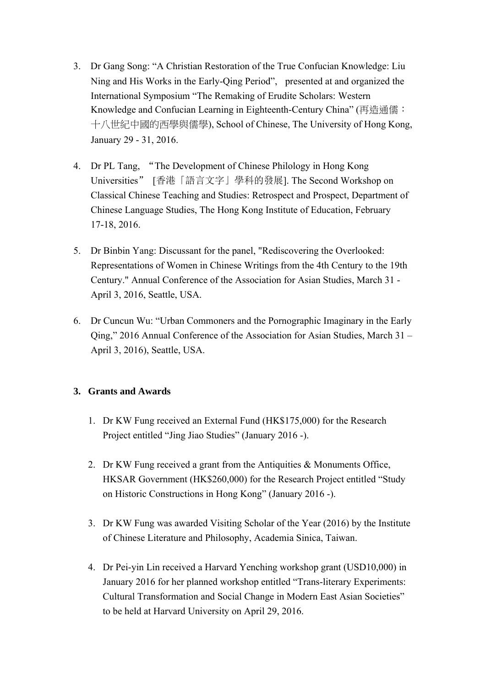- 3. Dr Gang Song: "A Christian Restoration of the True Confucian Knowledge: Liu Ning and His Works in the Early-Qing Period", presented at and organized the International Symposium "The Remaking of Erudite Scholars: Western Knowledge and Confucian Learning in Eighteenth-Century China" (再造通儒: 十八世紀中國的西學與儒學), School of Chinese, The University of Hong Kong, January 29 - 31, 2016.
- 4. Dr PL Tang, "The Development of Chinese Philology in Hong Kong Universities" [香港「語言文字」學科的發展]. The Second Workshop on Classical Chinese Teaching and Studies: Retrospect and Prospect, Department of Chinese Language Studies, The Hong Kong Institute of Education, February 17-18, 2016.
- 5. Dr Binbin Yang: Discussant for the panel, "Rediscovering the Overlooked: Representations of Women in Chinese Writings from the 4th Century to the 19th Century." Annual Conference of the Association for Asian Studies, March 31 - April 3, 2016, Seattle, USA.
- 6. Dr Cuncun Wu: "Urban Commoners and the Pornographic Imaginary in the Early Qing," 2016 Annual Conference of the Association for Asian Studies, March 31 – April 3, 2016), Seattle, USA.

### **3. Grants and Awards**

- 1. Dr KW Fung received an External Fund (HK\$175,000) for the Research Project entitled "Jing Jiao Studies" (January 2016 -).
- 2. Dr KW Fung received a grant from the Antiquities & Monuments Office, HKSAR Government (HK\$260,000) for the Research Project entitled "Study on Historic Constructions in Hong Kong" (January 2016 -).
- 3. Dr KW Fung was awarded Visiting Scholar of the Year (2016) by the Institute of Chinese Literature and Philosophy, Academia Sinica, Taiwan.
- 4. Dr Pei-yin Lin received a Harvard Yenching workshop grant (USD10,000) in January 2016 for her planned workshop entitled "Trans-literary Experiments: Cultural Transformation and Social Change in Modern East Asian Societies" to be held at Harvard University on April 29, 2016.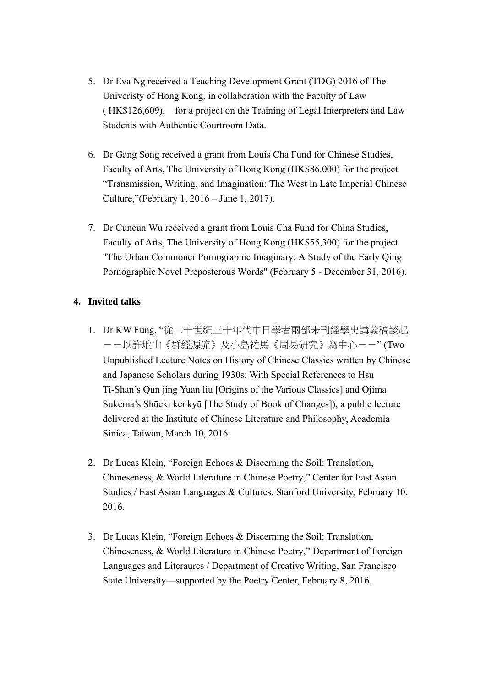- 5. Dr Eva Ng received a Teaching Development Grant (TDG) 2016 of The Univeristy of Hong Kong, in collaboration with the Faculty of Law ( HK\$126,609), for a project on the Training of Legal Interpreters and Law Students with Authentic Courtroom Data.
- 6. Dr Gang Song received a grant from Louis Cha Fund for Chinese Studies, Faculty of Arts, The University of Hong Kong (HK\$86.000) for the project "Transmission, Writing, and Imagination: The West in Late Imperial Chinese Culture,"(February 1, 2016 – June 1, 2017).
- 7. Dr Cuncun Wu received a grant from Louis Cha Fund for China Studies, Faculty of Arts, The University of Hong Kong (HK\$55,300) for the project "The Urban Commoner Pornographic Imaginary: A Study of the Early Qing Pornographic Novel Preposterous Words" (February 5 - December 31, 2016).

#### **4. Invited talks**

- 1. Dr KW Fung, "從二十世紀三十年代中日學者兩部未刊經學史講義稿談起 --以許地山《群經源流》及小島祐馬《周易研究》為中心--" (Two Unpublished Lecture Notes on History of Chinese Classics written by Chinese and Japanese Scholars during 1930s: With Special References to Hsu Ti-Shan's Qun jing Yuan liu [Origins of the Various Classics] and Ojima Sukema's Shūeki kenkyū [The Study of Book of Changes]), a public lecture delivered at the Institute of Chinese Literature and Philosophy, Academia Sinica, Taiwan, March 10, 2016.
- 2. Dr Lucas Klein, "Foreign Echoes & Discerning the Soil: Translation, Chineseness, & World Literature in Chinese Poetry," Center for East Asian Studies / East Asian Languages & Cultures, Stanford University, February 10, 2016.
- 3. Dr Lucas Klein, "Foreign Echoes & Discerning the Soil: Translation, Chineseness, & World Literature in Chinese Poetry," Department of Foreign Languages and Literaures / Department of Creative Writing, San Francisco State University—supported by the Poetry Center, February 8, 2016.